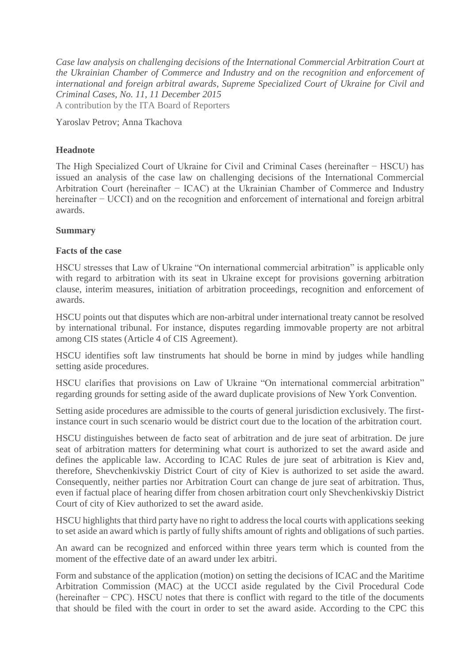*Case law analysis on challenging decisions of the International Commercial Arbitration Court at the Ukrainian Chamber of Commerce and Industry and on the recognition and enforcement of international and foreign arbitral awards, Supreme Specialized Court of Ukraine for Civil and Criminal Cases, No. 11, 11 December 2015* A contribution by the ITA Board of Reporters

Yaroslav Petrov; Anna Tkachova

## **Headnote**

The High Specialized Court of Ukraine for Civil and Criminal Cases (hereinafter − HSCU) has issued an analysis of the case law on challenging decisions of the International Commercial Arbitration Court (hereinafter − ICAC) at the Ukrainian Chamber of Commerce and Industry hereinafter – UCCI) and on the recognition and enforcement of international and foreign arbitral awards.

## **Summary**

## **Facts of the case**

HSCU stresses that Law of Ukraine "On international commercial arbitration" is applicable only with regard to arbitration with its seat in Ukraine except for provisions governing arbitration clause, interim measures, initiation of arbitration proceedings, recognition and enforcement of awards.

HSCU points out that disputes which are non-arbitral under international treaty cannot be resolved by international tribunal. For instance, disputes regarding immovable property are not arbitral among CIS states (Article 4 of CIS Agreement).

HSCU identifies soft law tinstruments hat should be borne in mind by judges while handling setting aside procedures.

HSCU clarifies that provisions on Law of Ukraine "On international commercial arbitration" regarding grounds for setting aside of the award duplicate provisions of New York Convention.

Setting aside procedures are admissible to the courts of general jurisdiction exclusively. The firstinstance court in such scenario would be district court due to the location of the arbitration court.

HSCU distinguishes between de facto seat of arbitration and de jure seat of arbitration. De jure seat of arbitration matters for determining what court is authorized to set the award aside and defines the applicable law. According to ICAC Rules de jure seat of arbitration is Kiev and, therefore, Shevchenkivskiy District Court of city of Kiev is authorized to set aside the award. Consequently, neither parties nor Arbitration Court can change de jure seat of arbitration. Thus, even if factual place of hearing differ from chosen arbitration court only Shevchenkivskiy District Court of city of Kiev authorized to set the award aside.

HSCU highlights that third party have no right to address the local courts with applications seeking to set aside an award which is partly of fully shifts amount of rights and obligations of such parties.

An award can be recognized and enforced within three years term which is counted from the moment of the effective date of an award under lex arbitri.

Form and substance of the application (motion) on setting the decisions of ICAC and the Maritime Arbitration Commission (MAC) at the UCCI aside regulated by the Civil Procedural Code (hereinafter − CPC). HSCU notes that there is conflict with regard to the title of the documents that should be filed with the court in order to set the award aside. According to the CPC this